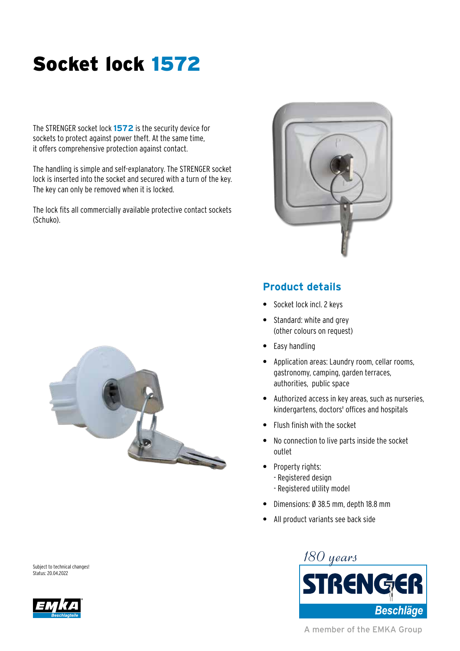## Socket lock 1572

The STRENGER socket lock **1572** is the security device for sockets to protect against power theft. At the same time, it offers comprehensive protection against contact.

The handling is simple and self-explanatory. The STRENGER socket lock is inserted into the socket and secured with a turn of the key. The key can only be removed when it is locked.

The lock fits all commercially available protective contact sockets (Schuko).





## **Product details**

- **•** Socket lock incl. 2 keys
- **•** Standard: white and grey (other colours on request)
- **•** Easy handling
- **•** Application areas: Laundry room, cellar rooms, gastronomy, camping, garden terraces, authorities, public space
- **•** Authorized access in key areas, such as nurseries, kindergartens, doctors' offices and hospitals
- **•** Flush finish with the socket
- **•** No connection to live parts inside the socket outlet
- **•** Property rights:
	- Registered design
	- Registered utility model
- **•** Dimensions: Ø 38.5 mm, depth 18.8 mm
- **•** All product variants see back side